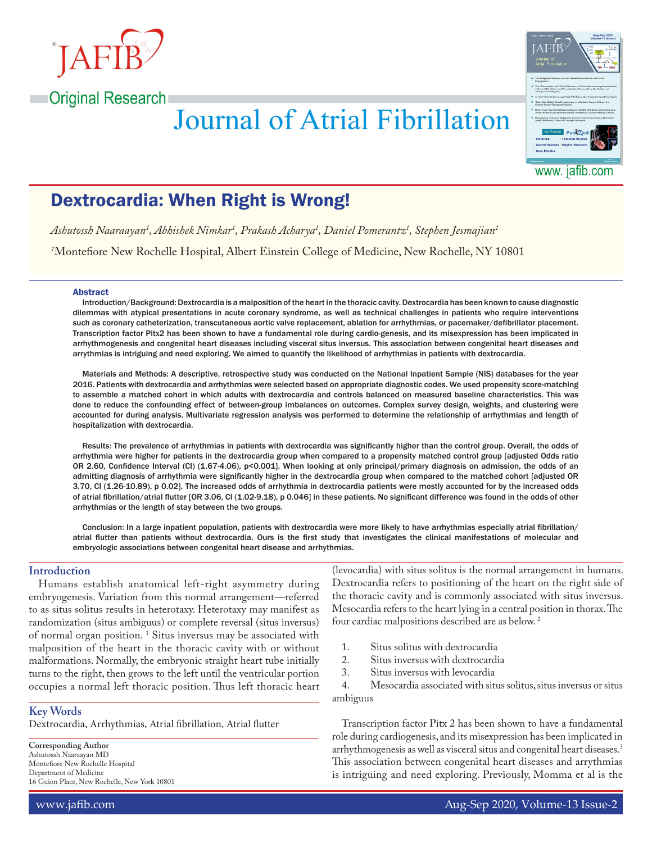

**Original Research** 

# **Journal of Atrial Fibrillation**



www. jafib.com

# Dextrocardia: When Right is Wrong!

*Ashutossh Naaraayan1 , Abhishek Nimkar1 , Prakash Acharya1 , Daniel Pomerantz1 , Stephen Jesmajian1*

*1* Montefiore New Rochelle Hospital, Albert Einstein College of Medicine, New Rochelle, NY 10801

#### Abstract

Introduction/Background: Dextrocardia is a malposition of the heart in the thoracic cavity. Dextrocardia has been known to cause diagnostic dilemmas with atypical presentations in acute coronary syndrome, as well as technical challenges in patients who require interventions such as coronary catheterization, transcutaneous aortic valve replacement, ablation for arrhythmias, or pacemaker/defibrillator placement. Transcription factor Pitx2 has been shown to have a fundamental role during cardio-genesis, and its misexpression has been implicated in arrhythmogenesis and congenital heart diseases including visceral situs inversus. This association between congenital heart diseases and arrythmias is intriguing and need exploring. We aimed to quantify the likelihood of arrhythmias in patients with dextrocardia.

Materials and Methods: A descriptive, retrospective study was conducted on the National Inpatient Sample (NIS) databases for the year 2016. Patients with dextrocardia and arrhythmias were selected based on appropriate diagnostic codes. We used propensity score-matching to assemble a matched cohort in which adults with dextrocardia and controls balanced on measured baseline characteristics. This was done to reduce the confounding effect of between-group imbalances on outcomes. Complex survey design, weights, and clustering were accounted for during analysis. Multivariate regression analysis was performed to determine the relationship of arrhythmias and length of hospitalization with dextrocardia.

Results: The prevalence of arrhythmias in patients with dextrocardia was significantly higher than the control group. Overall, the odds of arrhythmia were higher for patients in the dextrocardia group when compared to a propensity matched control group [adjusted Odds ratio OR 2.60, Confidence Interval (CI) (1.67-4.06), p<0.001]. When looking at only principal/primary diagnosis on admission, the odds of an admitting diagnosis of arrhythmia were significantly higher in the dextrocardia group when compared to the matched cohort [adjusted OR 3.70, CI (1.26-10.89), p 0.02]. The increased odds of arrhythmia in dextrocardia patients were mostly accounted for by the increased odds of atrial fibrillation/atrial flutter [OR 3.06, CI (1.02-9.18), p 0.046] in these patients. No significant difference was found in the odds of other arrhythmias or the length of stay between the two groups.

Conclusion: In a large inpatient population, patients with dextrocardia were more likely to have arrhythmias especially atrial fibrillation/ atrial flutter than patients without dextrocardia. Ours is the first study that investigates the clinical manifestations of molecular and embryologic associations between congenital heart disease and arrhythmias.

# **Introduction**

Humans establish anatomical left-right asymmetry during embryogenesis. Variation from this normal arrangement—referred to as situs solitus results in heterotaxy. Heterotaxy may manifest as randomization (situs ambiguus) or complete reversal (situs inversus) of normal organ position. <sup>1</sup> Situs inversus may be associated with malposition of the heart in the thoracic cavity with or without malformations. Normally, the embryonic straight heart tube initially turns to the right, then grows to the left until the ventricular portion occupies a normal left thoracic position. Thus left thoracic heart

#### **Key Words**

Dextrocardia, Arrhythmias, Atrial fibrillation, Atrial flutter

**Corresponding Author** Ashutossh Naaraayan MD Montefiore New Rochelle Hospital Department of Medicine 16 Guion Place, New Rochelle, New York 10801 (levocardia) with situs solitus is the normal arrangement in humans. Dextrocardia refers to positioning of the heart on the right side of the thoracic cavity and is commonly associated with situs inversus. Mesocardia refers to the heart lying in a central position in thorax. The four cardiac malpositions described are as below. 2

- 1. Situs solitus with dextrocardia<br>2. Situs inversus with dextrocardi
- 2. Situs inversus with dextrocardia<br>3. Situs inversus with levocardia
- 3. Situs inversus with levocardia<br>4. Mesocardia associated with situal

Mesocardia associated with situs solitus, situs inversus or situs ambiguus

Transcription factor Pitx 2 has been shown to have a fundamental role during cardiogenesis, and its misexpression has been implicated in arrhythmogenesis as well as visceral situs and congenital heart diseases.3 This association between congenital heart diseases and arrythmias is intriguing and need exploring. Previously, Momma et al is the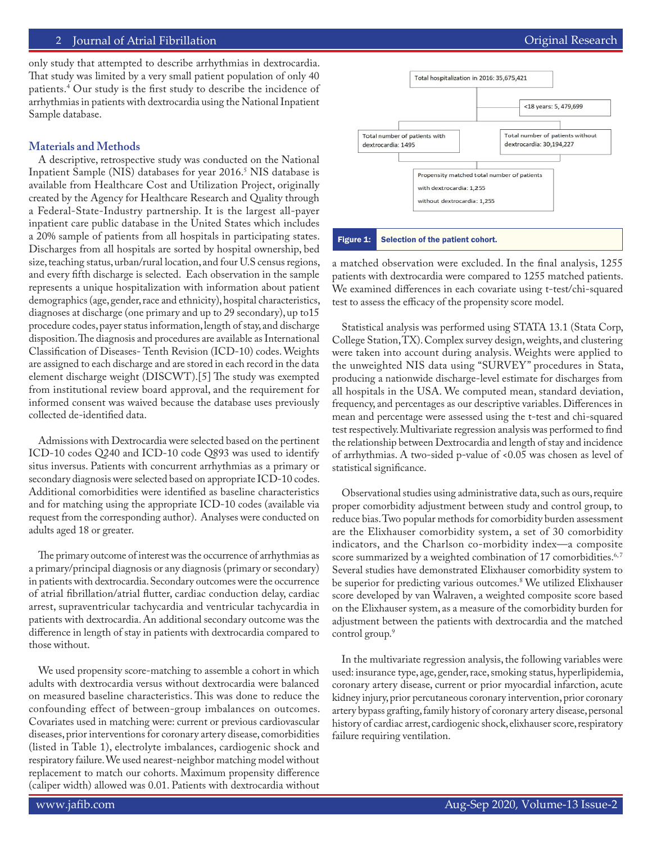# 2 Journal of Atrial Fibrillation **Community** Community Community Community Community Community Community Community

only study that attempted to describe arrhythmias in dextrocardia. That study was limited by a very small patient population of only 40 patients.4 Our study is the first study to describe the incidence of arrhythmias in patients with dextrocardia using the National Inpatient Sample database.

# **Materials and Methods**

A descriptive, retrospective study was conducted on the National Inpatient Sample (NIS) databases for year 2016.5 NIS database is available from Healthcare Cost and Utilization Project, originally created by the Agency for Healthcare Research and Quality through a Federal-State-Industry partnership. It is the largest all-payer inpatient care public database in the United States which includes a 20% sample of patients from all hospitals in participating states. Discharges from all hospitals are sorted by hospital ownership, bed size, teaching status, urban/rural location, and four U.S census regions, and every fifth discharge is selected. Each observation in the sample represents a unique hospitalization with information about patient demographics (age, gender, race and ethnicity), hospital characteristics, diagnoses at discharge (one primary and up to 29 secondary), up to15 procedure codes, payer status information, length of stay, and discharge disposition. The diagnosis and procedures are available as International Classification of Diseases- Tenth Revision (ICD-10) codes. Weights are assigned to each discharge and are stored in each record in the data element discharge weight (DISCWT).[5] The study was exempted from institutional review board approval, and the requirement for informed consent was waived because the database uses previously collected de-identified data.

Admissions with Dextrocardia were selected based on the pertinent ICD-10 codes Q240 and ICD-10 code Q893 was used to identify situs inversus. Patients with concurrent arrhythmias as a primary or secondary diagnosis were selected based on appropriate ICD-10 codes. Additional comorbidities were identified as baseline characteristics and for matching using the appropriate ICD-10 codes (available via request from the corresponding author). Analyses were conducted on adults aged 18 or greater.

The primary outcome of interest was the occurrence of arrhythmias as a primary/principal diagnosis or any diagnosis (primary or secondary) in patients with dextrocardia. Secondary outcomes were the occurrence of atrial fibrillation/atrial flutter, cardiac conduction delay, cardiac arrest, supraventricular tachycardia and ventricular tachycardia in patients with dextrocardia. An additional secondary outcome was the difference in length of stay in patients with dextrocardia compared to those without.

We used propensity score-matching to assemble a cohort in which adults with dextrocardia versus without dextrocardia were balanced on measured baseline characteristics. This was done to reduce the confounding effect of between-group imbalances on outcomes. Covariates used in matching were: current or previous cardiovascular diseases, prior interventions for coronary artery disease, comorbidities (listed in Table 1), electrolyte imbalances, cardiogenic shock and respiratory failure. We used nearest-neighbor matching model without replacement to match our cohorts. Maximum propensity difference (caliper width) allowed was 0.01. Patients with dextrocardia without



Figure 1: Selection of the patient cohort.

a matched observation were excluded. In the final analysis, 1255 patients with dextrocardia were compared to 1255 matched patients. We examined differences in each covariate using t-test/chi-squared test to assess the efficacy of the propensity score model.

Statistical analysis was performed using STATA 13.1 (Stata Corp, College Station, TX). Complex survey design, weights, and clustering were taken into account during analysis. Weights were applied to the unweighted NIS data using "SURVEY" procedures in Stata, producing a nationwide discharge-level estimate for discharges from all hospitals in the USA. We computed mean, standard deviation, frequency, and percentages as our descriptive variables. Differences in mean and percentage were assessed using the t-test and chi-squared test respectively. Multivariate regression analysis was performed to find the relationship between Dextrocardia and length of stay and incidence of arrhythmias. A two-sided p-value of <0.05 was chosen as level of statistical significance.

Observational studies using administrative data, such as ours, require proper comorbidity adjustment between study and control group, to reduce bias. Two popular methods for comorbidity burden assessment are the Elixhauser comorbidity system, a set of 30 comorbidity indicators, and the Charlson co-morbidity index—a composite score summarized by a weighted combination of 17 comorbidities.<sup>6,7</sup> Several studies have demonstrated Elixhauser comorbidity system to be superior for predicting various outcomes.8 We utilized Elixhauser score developed by van Walraven, a weighted composite score based on the Elixhauser system, as a measure of the comorbidity burden for adjustment between the patients with dextrocardia and the matched control group.<sup>9</sup>

In the multivariate regression analysis, the following variables were used: insurance type, age, gender, race, smoking status, hyperlipidemia, coronary artery disease, current or prior myocardial infarction, acute kidney injury, prior percutaneous coronary intervention, prior coronary artery bypass grafting, family history of coronary artery disease, personal history of cardiac arrest, cardiogenic shock, elixhauser score, respiratory failure requiring ventilation.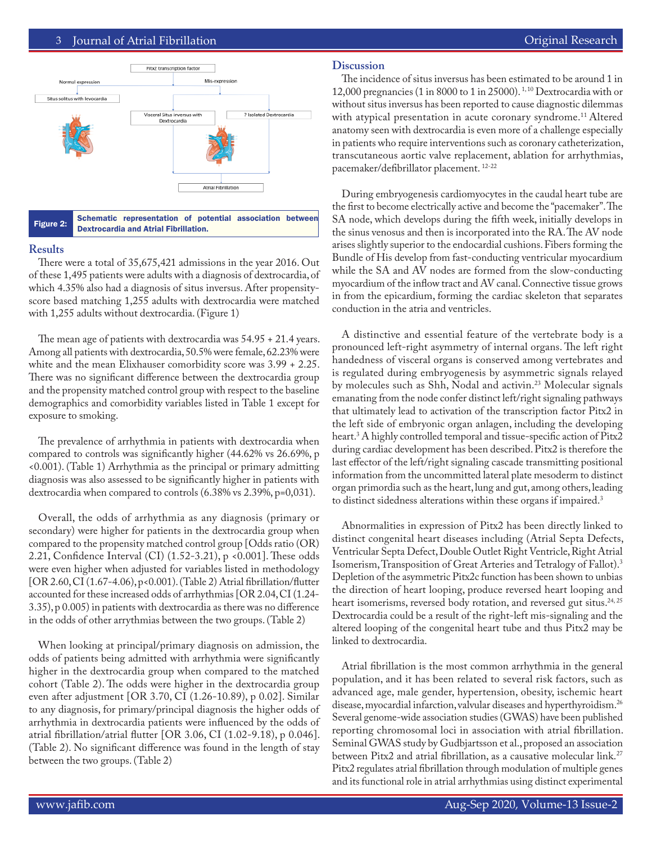# 3 Journal of Atrial Fibrillation **Community Community** Community Community Community Community Community Community



Figure 2: Schematic representation of potential association between Dextrocardia and Atrial Fibrillation.

#### **Results**

There were a total of 35,675,421 admissions in the year 2016. Out of these 1,495 patients were adults with a diagnosis of dextrocardia, of which 4.35% also had a diagnosis of situs inversus. After propensityscore based matching 1,255 adults with dextrocardia were matched with 1,255 adults without dextrocardia. (Figure 1)

The mean age of patients with dextrocardia was 54.95 + 21.4 years. Among all patients with dextrocardia, 50.5% were female, 62.23% were white and the mean Elixhauser comorbidity score was 3.99 + 2.25. There was no significant difference between the dextrocardia group and the propensity matched control group with respect to the baseline demographics and comorbidity variables listed in Table 1 except for exposure to smoking.

The prevalence of arrhythmia in patients with dextrocardia when compared to controls was significantly higher (44.62% vs 26.69%, p <0.001). (Table 1) Arrhythmia as the principal or primary admitting diagnosis was also assessed to be significantly higher in patients with dextrocardia when compared to controls (6.38% vs 2.39%, p=0,031).

Overall, the odds of arrhythmia as any diagnosis (primary or secondary) were higher for patients in the dextrocardia group when compared to the propensity matched control group [Odds ratio (OR) 2.21, Confidence Interval (CI) (1.52-3.21), p <0.001]. These odds were even higher when adjusted for variables listed in methodology [OR 2.60, CI (1.67-4.06), p<0.001). (Table 2) Atrial fibrillation/flutter accounted for these increased odds of arrhythmias [OR 2.04, CI (1.24- 3.35), p 0.005) in patients with dextrocardia as there was no difference in the odds of other arrythmias between the two groups. (Table 2)

When looking at principal/primary diagnosis on admission, the odds of patients being admitted with arrhythmia were significantly higher in the dextrocardia group when compared to the matched cohort (Table 2). The odds were higher in the dextrocardia group even after adjustment [OR 3.70, CI (1.26-10.89), p 0.02]. Similar to any diagnosis, for primary/principal diagnosis the higher odds of arrhythmia in dextrocardia patients were influenced by the odds of atrial fibrillation/atrial flutter [OR 3.06, CI (1.02-9.18), p 0.046]. (Table 2). No significant difference was found in the length of stay between the two groups. (Table 2)

# **Discussion**

The incidence of situs inversus has been estimated to be around 1 in 12,000 pregnancies (1 in 8000 to 1 in 25000). 1, 10 Dextrocardia with or without situs inversus has been reported to cause diagnostic dilemmas with atypical presentation in acute coronary syndrome.<sup>11</sup> Altered anatomy seen with dextrocardia is even more of a challenge especially in patients who require interventions such as coronary catheterization, transcutaneous aortic valve replacement, ablation for arrhythmias, pacemaker/defibrillator placement. 12-22

During embryogenesis cardiomyocytes in the caudal heart tube are the first to become electrically active and become the "pacemaker". The SA node, which develops during the fifth week, initially develops in the sinus venosus and then is incorporated into the RA. The AV node arises slightly superior to the endocardial cushions. Fibers forming the Bundle of His develop from fast-conducting ventricular myocardium while the SA and AV nodes are formed from the slow-conducting myocardium of the inflow tract and AV canal. Connective tissue grows in from the epicardium, forming the cardiac skeleton that separates conduction in the atria and ventricles.

A distinctive and essential feature of the vertebrate body is a pronounced left-right asymmetry of internal organs. The left right handedness of visceral organs is conserved among vertebrates and is regulated during embryogenesis by asymmetric signals relayed by molecules such as Shh, Nodal and activin.<sup>23</sup> Molecular signals emanating from the node confer distinct left/right signaling pathways that ultimately lead to activation of the transcription factor Pitx2 in the left side of embryonic organ anlagen, including the developing heart.3 A highly controlled temporal and tissue-specific action of Pitx2 during cardiac development has been described. Pitx2 is therefore the last effector of the left/right signaling cascade transmitting positional information from the uncommitted lateral plate mesoderm to distinct organ primordia such as the heart, lung and gut, among others, leading to distinct sidedness alterations within these organs if impaired.<sup>3</sup>

Abnormalities in expression of Pitx2 has been directly linked to distinct congenital heart diseases including (Atrial Septa Defects, Ventricular Septa Defect, Double Outlet Right Ventricle, Right Atrial Isomerism, Transposition of Great Arteries and Tetralogy of Fallot).3 Depletion of the asymmetric Pitx2c function has been shown to unbias the direction of heart looping, produce reversed heart looping and heart isomerisms, reversed body rotation, and reversed gut situs.<sup>24, 25</sup> Dextrocardia could be a result of the right-left mis-signaling and the altered looping of the congenital heart tube and thus Pitx2 may be linked to dextrocardia.

Atrial fibrillation is the most common arrhythmia in the general population, and it has been related to several risk factors, such as advanced age, male gender, hypertension, obesity, ischemic heart disease, myocardial infarction, valvular diseases and hyperthyroidism.26 Several genome-wide association studies (GWAS) have been published reporting chromosomal loci in association with atrial fibrillation. Seminal GWAS study by Gudbjartsson et al., proposed an association between Pitx2 and atrial fibrillation, as a causative molecular link.<sup>27</sup> Pitx2 regulates atrial fibrillation through modulation of multiple genes and its functional role in atrial arrhythmias using distinct experimental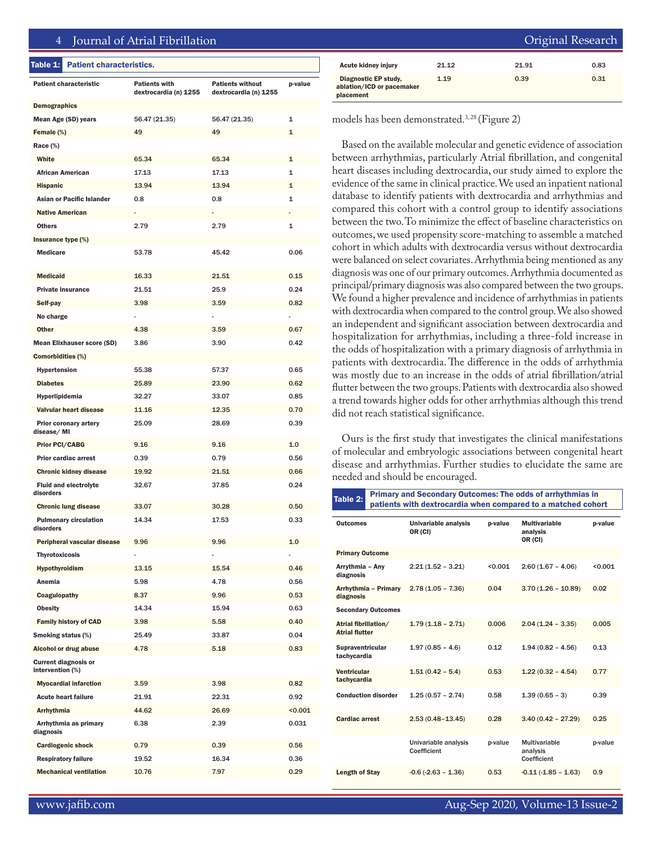### 4 Journal of Atrial Fibrillation

#### Table 1: Patient characteristics.

| <b>Patient characteristic</b>                   | <b>Patients with</b><br>dextrocardia (n) 1255 | <b>Patients without</b><br>dextrocardia (n) 1255 | p-value |
|-------------------------------------------------|-----------------------------------------------|--------------------------------------------------|---------|
| <b>Demographics</b>                             |                                               |                                                  |         |
| Mean Age (SD) years                             | 56.47 (21.35)                                 | 56.47 (21.35)                                    | 1       |
| Female (%)                                      | 49                                            | 49                                               | 1       |
| Race (%)                                        |                                               |                                                  |         |
| White                                           | 65.34                                         | 65.34                                            | 1       |
| <b>African American</b>                         | 17.13                                         | 17.13                                            | 1       |
| <b>Hispanic</b>                                 | 13.94                                         | 13.94                                            | 1       |
| Asian or Pacific Islander                       | 0.8                                           | 0.8                                              | 1       |
| <b>Native American</b>                          |                                               |                                                  |         |
| Others                                          | 2.79                                          | 2.79                                             | 1       |
| Insurance type (%)                              |                                               |                                                  |         |
| <b>Medicare</b>                                 | 53.78                                         | 45.42                                            | 0.06    |
| <b>Medicaid</b>                                 | 16.33                                         | 21.51                                            | 0.15    |
| <b>Private insurance</b>                        | 21.51                                         | 25.9                                             | 0.24    |
| Self-pay                                        | 3.98                                          | 3.59                                             | 0.82    |
| No charge                                       |                                               |                                                  |         |
| Other                                           | 4.38                                          | 3.59                                             | 0.67    |
| <b>Mean Elixhauser score (SD)</b>               | 3.86                                          | 3.90                                             | 0.42    |
| <b>Comorbidities (%)</b>                        |                                               |                                                  |         |
| <b>Hypertension</b>                             | 55.38                                         | 57.37                                            | 0.65    |
| <b>Diabetes</b>                                 | 25.89                                         | 23.90                                            | 0.62    |
| Hyperlipidemia                                  | 32.27                                         | 33.07                                            | 0.85    |
| Valvular heart disease                          | 11.16                                         | 12.35                                            | 0.70    |
| <b>Prior coronary artery</b><br>disease/MI      | 25.09                                         | 28.69                                            | 0.39    |
| <b>Prior PCI/CABG</b>                           | 9.16                                          | 9.16                                             | 1.0     |
| Prior cardiac arrest                            | 0.39                                          | 0.79                                             | 0.56    |
| <b>Chronic kidney disease</b>                   | 19.92                                         | 21.51                                            | 0.66    |
| <b>Fluid and electrolyte</b><br>disorders       | 32.67                                         | 37.85                                            | 0.24    |
| <b>Chronic lung disease</b>                     | 33.07                                         | 30.28                                            | 0.50    |
| <b>Pulmonary circulation</b><br>disorders       | 14.34                                         | 17.53                                            | 0.33    |
| Peripheral vascular disease                     | 9.96                                          | 9.96                                             | 1.0     |
| Thyrotoxicosis                                  |                                               |                                                  |         |
| Hypothyroidism                                  | 13.15                                         | 15.54                                            | 0.46    |
| Anemia                                          | 5.98                                          | 4.78                                             | 0.56    |
| Coagulopathy                                    | 8.37                                          | 9.96                                             | 0.53    |
| <b>Obesity</b>                                  | 14.34                                         | 15.94                                            | 0.63    |
| <b>Family history of CAD</b>                    | 3.98                                          | 5.58                                             | 0.40    |
| Smoking status (%)                              | 25.49                                         | 33.87                                            | 0.04    |
| Alcohol or drug abuse                           | 4.78                                          | 5.18                                             | 0.83    |
| <b>Current diagnosis or</b><br>intervention (%) |                                               |                                                  |         |
| <b>Myocardial infarction</b>                    | 3.59                                          | 3.98                                             | 0.82    |
| <b>Acute heart failure</b>                      | 21.91                                         | 22.31                                            | 0.92    |
| Arrhythmia                                      | 44.62                                         | 26.69                                            | < 0.001 |
| Arrhythmia as primary<br>diagnosis              | 6.38                                          | 2.39                                             | 0.031   |
| <b>Cardiogenic shock</b>                        | 0.79                                          | 0.39                                             | 0.56    |
| <b>Respiratory failure</b>                      | 19.52                                         | 16.34                                            | 0.36    |
| <b>Mechanical ventilation</b>                   | 10.76                                         | 7.97                                             | 0.29    |

|                                                                       |       | Original Research |      |  |
|-----------------------------------------------------------------------|-------|-------------------|------|--|
| <b>Acute kidney injury</b>                                            | 21.12 | 21.91             | 0.83 |  |
| <b>Diagnostic EP study,</b><br>ablation/ICD or pacemaker<br>placement | 1.19  | 0.39              | 0.31 |  |

models has been demonstrated.<sup>3,28</sup> (Figure 2)

Based on the available molecular and genetic evidence of association between arrhythmias, particularly Atrial fibrillation, and congenital heart diseases including dextrocardia, our study aimed to explore the evidence of the same in clinical practice. We used an inpatient national database to identify patients with dextrocardia and arrhythmias and compared this cohort with a control group to identify associations between the two. To minimize the effect of baseline characteristics on outcomes, we used propensity score-matching to assemble a matched cohort in which adults with dextrocardia versus without dextrocardia were balanced on select covariates. Arrhythmia being mentioned as any diagnosis was one of our primary outcomes. Arrhythmia documented as principal/primary diagnosis was also compared between the two groups. We found a higher prevalence and incidence of arrhythmias in patients with dextrocardia when compared to the control group. We also showed an independent and significant association between dextrocardia and hospitalization for arrhythmias, including a three-fold increase in the odds of hospitalization with a primary diagnosis of arrhythmia in patients with dextrocardia. The difference in the odds of arrhythmia was mostly due to an increase in the odds of atrial fibrillation/atrial flutter between the two groups. Patients with dextrocardia also showed a trend towards higher odds for other arrhythmias although this trend did not reach statistical significance.

Ours is the first study that investigates the clinical manifestations of molecular and embryologic associations between congenital heart disease and arrhythmias. Further studies to elucidate the same are needed and should be encouraged.

| Table 2: $\vert$ | <b>Primary and Secondary Outcomes: The odds of arrhythmias in</b> |
|------------------|-------------------------------------------------------------------|
|                  | patients with dextrocardia when compared to a matched cohort      |

| Outcomes                                      | Univariable analysis<br>OR (CI)     | p-value | <b>Multivariable</b><br>analysis<br>OR (CI) | p-value |
|-----------------------------------------------|-------------------------------------|---------|---------------------------------------------|---------|
| <b>Primary Outcome</b>                        |                                     |         |                                             |         |
| Arrythmia - Any<br>diagnosis                  | $2.21(1.52 - 3.21)$                 | < 0.001 | $2.60(1.67 - 4.06)$                         | < 0.001 |
| Arrhythmia - Primary<br>diagnosis             | $2.78(1.05 - 7.36)$                 | 0.04    | $3.70(1.26 - 10.89)$                        | 0.02    |
| <b>Secondary Outcomes</b>                     |                                     |         |                                             |         |
| Atrial fibrillation/<br><b>Atrial flutter</b> | $1.79(1.18 - 2.71)$                 | 0.006   | $2.04(1.24 - 3.35)$                         | 0.005   |
| <b>Supraventricular</b><br>tachycardia        | $1.97(0.85 - 4.6)$                  | 0.12    | $1.94(0.82 - 4.56)$                         | 0.13    |
| <b>Ventricular</b><br>tachycardia             | $1.51(0.42 - 5.4)$                  | 0.53    | $1.22(0.32 - 4.54)$                         | 0.77    |
| <b>Conduction disorder</b>                    | $1.25(0.57 - 2.74)$                 | 0.58    | $1.39(0.65 - 3)$                            | 0.39    |
| <b>Cardiac arrest</b>                         | $2.53(0.48 - 13.45)$                | 0.28    | $3.40(0.42 - 27.29)$                        | 0.25    |
|                                               | Univariable analysis<br>Coefficient | p-value | Multivariable<br>analysis<br>Coefficient    | p-value |
| <b>Length of Stay</b>                         | $-0.6(-2.63 - 1.36)$                | 0.53    | $-0.11(-1.85 - 1.63)$                       | 0.9     |